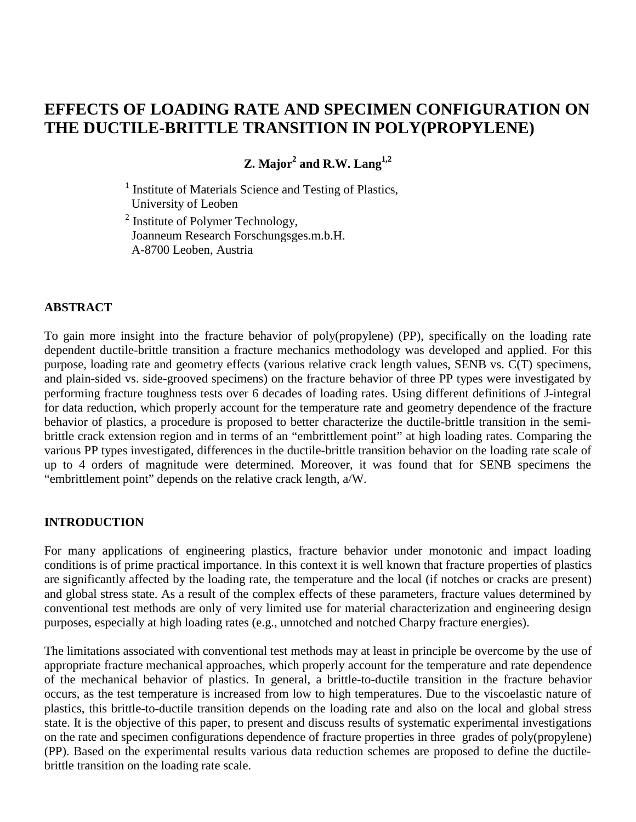# **EFFECTS OF LOADING RATE AND SPECIMEN CONFIGURATION ON THE DUCTILE-BRITTLE TRANSITION IN POLY(PROPYLENE)**

**Z.** Major<sup>2</sup> and R.W. Lang<sup>1,2</sup>

<sup>1</sup> Institute of Materials Science and Testing of Plastics, University of Leoben

<sup>2</sup> Institute of Polymer Technology, Joanneum Research Forschungsges.m.b.H. A-8700 Leoben, Austria

### **ABSTRACT**

To gain more insight into the fracture behavior of poly(propylene) (PP), specifically on the loading rate dependent ductile-brittle transition a fracture mechanics methodology was developed and applied. For this purpose, loading rate and geometry effects (various relative crack length values, SENB vs. C(T) specimens, and plain-sided vs. side-grooved specimens) on the fracture behavior of three PP types were investigated by performing fracture toughness tests over 6 decades of loading rates. Using different definitions of J-integral for data reduction, which properly account for the temperature rate and geometry dependence of the fracture behavior of plastics, a procedure is proposed to better characterize the ductile-brittle transition in the semibrittle crack extension region and in terms of an "embrittlement point" at high loading rates. Comparing the various PP types investigated, differences in the ductile-brittle transition behavior on the loading rate scale of up to 4 orders of magnitude were determined. Moreover, it was found that for SENB specimens the "embrittlement point" depends on the relative crack length, a/W.

### **INTRODUCTION**

For many applications of engineering plastics, fracture behavior under monotonic and impact loading conditions is of prime practical importance. In this context it is well known that fracture properties of plastics are significantly affected by the loading rate, the temperature and the local (if notches or cracks are present) and global stress state. As a result of the complex effects of these parameters, fracture values determined by conventional test methods are only of very limited use for material characterization and engineering design purposes, especially at high loading rates (e.g., unnotched and notched Charpy fracture energies).

The limitations associated with conventional test methods may at least in principle be overcome by the use of appropriate fracture mechanical approaches, which properly account for the temperature and rate dependence of the mechanical behavior of plastics. In general, a brittle-to-ductile transition in the fracture behavior occurs, as the test temperature is increased from low to high temperatures. Due to the viscoelastic nature of plastics, this brittle-to-ductile transition depends on the loading rate and also on the local and global stress state. It is the objective of this paper, to present and discuss results of systematic experimental investigations on the rate and specimen configurations dependence of fracture properties in three grades of poly(propylene) (PP). Based on the experimental results various data reduction schemes are proposed to define the ductilebrittle transition on the loading rate scale.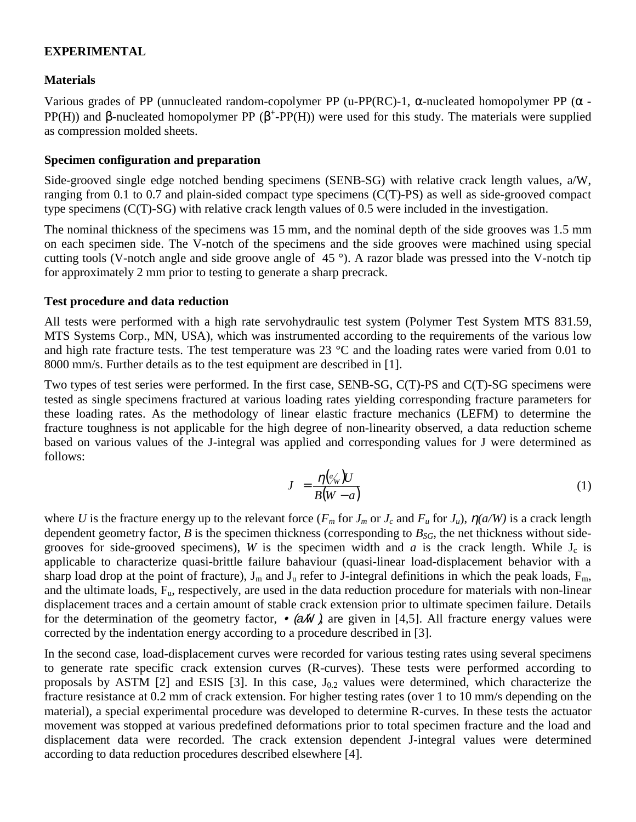## **EXPERIMENTAL**

## **Materials**

Various grades of PP (unnucleated random-copolymer PP (u-PP(RC)-1, α-nucleated homopolymer PP (α **-** PP(H)) and β-nucleated homopolymer PP (β<sup>+</sup>-PP(H)) were used for this study. The materials were supplied as compression molded sheets.

## **Specimen configuration and preparation**

Side-grooved single edge notched bending specimens (SENB-SG) with relative crack length values, a/W, ranging from 0.1 to 0.7 and plain-sided compact type specimens (C(T)-PS) as well as side-grooved compact type specimens (C(T)-SG) with relative crack length values of 0.5 were included in the investigation.

The nominal thickness of the specimens was 15 mm, and the nominal depth of the side grooves was 1.5 mm on each specimen side. The V-notch of the specimens and the side grooves were machined using special cutting tools (V-notch angle and side groove angle of 45 °). A razor blade was pressed into the V-notch tip for approximately 2 mm prior to testing to generate a sharp precrack.

### **Test procedure and data reduction**

All tests were performed with a high rate servohydraulic test system (Polymer Test System MTS 831.59, MTS Systems Corp., MN, USA), which was instrumented according to the requirements of the various low and high rate fracture tests. The test temperature was  $23 \text{ °C}$  and the loading rates were varied from 0.01 to 8000 mm/s. Further details as to the test equipment are described in [1].

Two types of test series were performed. In the first case, SENB-SG, C(T)-PS and C(T)-SG specimens were tested as single specimens fractured at various loading rates yielding corresponding fracture parameters for these loading rates. As the methodology of linear elastic fracture mechanics (LEFM) to determine the fracture toughness is not applicable for the high degree of non-linearity observed, a data reduction scheme based on various values of the J-integral was applied and corresponding values for J were determined as follows:

$$
J = \frac{\eta(\phi_W')U}{B(W - a)}
$$
(1)

where *U* is the fracture energy up to the relevant force ( $F_m$  for  $J_m$  or  $J_c$  and  $F_u$  for  $J_u$ ),  $\eta(a/W)$  is a crack length dependent geometry factor,  $B$  is the specimen thickness (corresponding to  $B_{SG}$ , the net thickness without sidegrooves for side-grooved specimens), *W* is the specimen width and *a* is the crack length. While  $J_c$  is applicable to characterize quasi-brittle failure bahaviour (quasi-linear load-displacement behavior with a sharp load drop at the point of fracture),  $J_m$  and  $J_u$  refer to J-integral definitions in which the peak loads,  $F_m$ , and the ultimate loads, Fu, respectively, are used in the data reduction procedure for materials with non-linear displacement traces and a certain amount of stable crack extension prior to ultimate specimen failure. Details for the determination of the geometry factor,  $\bullet$  ( $\alpha$ *M*), are given in [4,5]. All fracture energy values were corrected by the indentation energy according to a procedure described in [3].

In the second case, load-displacement curves were recorded for various testing rates using several specimens to generate rate specific crack extension curves (R-curves). These tests were performed according to proposals by ASTM [2] and ESIS [3]. In this case,  $J_{0.2}$  values were determined, which characterize the fracture resistance at 0.2 mm of crack extension. For higher testing rates (over 1 to 10 mm/s depending on the material), a special experimental procedure was developed to determine R-curves. In these tests the actuator movement was stopped at various predefined deformations prior to total specimen fracture and the load and displacement data were recorded. The crack extension dependent J-integral values were determined according to data reduction procedures described elsewhere [4].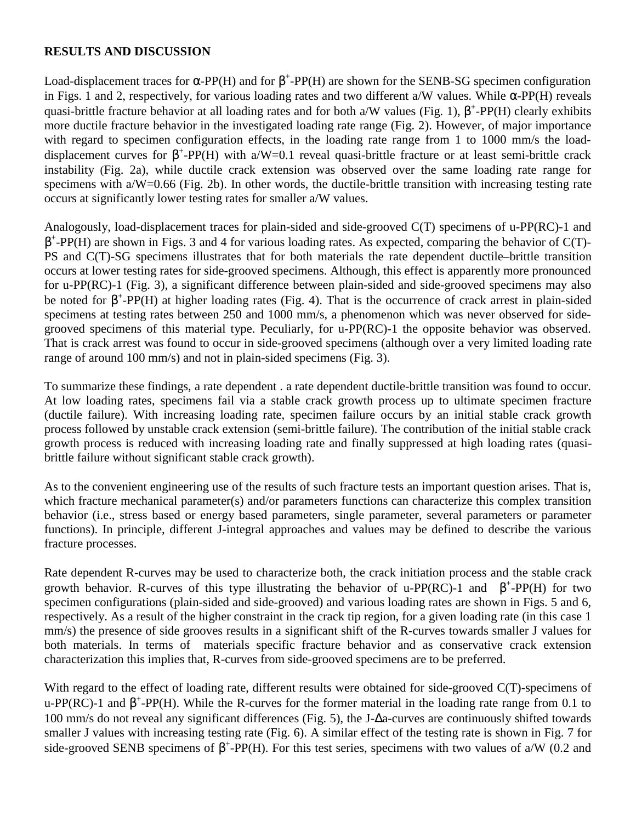## **RESULTS AND DISCUSSION**

Load-displacement traces for  $\alpha$ -PP(H) and for  $\beta$ <sup>+</sup>-PP(H) are shown for the SENB-SG specimen configuration in Figs. 1 and 2, respectively, for various loading rates and two different a/W values. While α-PP(H) reveals quasi-brittle fracture behavior at all loading rates and for both a/W values (Fig. 1),  $\beta^+$ -PP(H) clearly exhibits more ductile fracture behavior in the investigated loading rate range (Fig. 2). However, of major importance with regard to specimen configuration effects, in the loading rate range from 1 to 1000 mm/s the loaddisplacement curves for  $\beta^+$ -PP(H) with a/W=0.1 reveal quasi-brittle fracture or at least semi-brittle crack instability (Fig. 2a), while ductile crack extension was observed over the same loading rate range for specimens with a/W=0.66 (Fig. 2b). In other words, the ductile-brittle transition with increasing testing rate occurs at significantly lower testing rates for smaller a/W values.

Analogously, load-displacement traces for plain-sided and side-grooved C(T) specimens of u-PP(RC)-1 and  $\beta^+$ -PP(H) are shown in Figs. 3 and 4 for various loading rates. As expected, comparing the behavior of C(T)-PS and C(T)-SG specimens illustrates that for both materials the rate dependent ductile–brittle transition occurs at lower testing rates for side-grooved specimens. Although, this effect is apparently more pronounced for u-PP(RC)-1 (Fig. 3), a significant difference between plain-sided and side-grooved specimens may also be noted for  $\beta^+$ -PP(H) at higher loading rates (Fig. 4). That is the occurrence of crack arrest in plain-sided specimens at testing rates between 250 and 1000 mm/s, a phenomenon which was never observed for sidegrooved specimens of this material type. Peculiarly, for u-PP(RC)-1 the opposite behavior was observed. That is crack arrest was found to occur in side-grooved specimens (although over a very limited loading rate range of around 100 mm/s) and not in plain-sided specimens (Fig. 3).

To summarize these findings, a rate dependent . a rate dependent ductile-brittle transition was found to occur. At low loading rates, specimens fail via a stable crack growth process up to ultimate specimen fracture (ductile failure). With increasing loading rate, specimen failure occurs by an initial stable crack growth process followed by unstable crack extension (semi-brittle failure). The contribution of the initial stable crack growth process is reduced with increasing loading rate and finally suppressed at high loading rates (quasibrittle failure without significant stable crack growth).

As to the convenient engineering use of the results of such fracture tests an important question arises. That is, which fracture mechanical parameter(s) and/or parameters functions can characterize this complex transition behavior (i.e., stress based or energy based parameters, single parameter, several parameters or parameter functions). In principle, different J-integral approaches and values may be defined to describe the various fracture processes.

Rate dependent R-curves may be used to characterize both, the crack initiation process and the stable crack growth behavior. R-curves of this type illustrating the behavior of u-PP(RC)-1 and  $\beta^+$ -PP(H) for two specimen configurations (plain-sided and side-grooved) and various loading rates are shown in Figs. 5 and 6, respectively. As a result of the higher constraint in the crack tip region, for a given loading rate (in this case 1 mm/s) the presence of side grooves results in a significant shift of the R-curves towards smaller J values for both materials. In terms of materials specific fracture behavior and as conservative crack extension characterization this implies that, R-curves from side-grooved specimens are to be preferred.

With regard to the effect of loading rate, different results were obtained for side-grooved C(T)-specimens of u-PP(RC)-1 and  $\beta^+$ -PP(H). While the R-curves for the former material in the loading rate range from 0.1 to 100 mm/s do not reveal any significant differences (Fig. 5), the J-∆a-curves are continuously shifted towards smaller J values with increasing testing rate (Fig. 6). A similar effect of the testing rate is shown in Fig. 7 for side-grooved SENB specimens of  $\beta^+$ -PP(H). For this test series, specimens with two values of a/W (0.2 and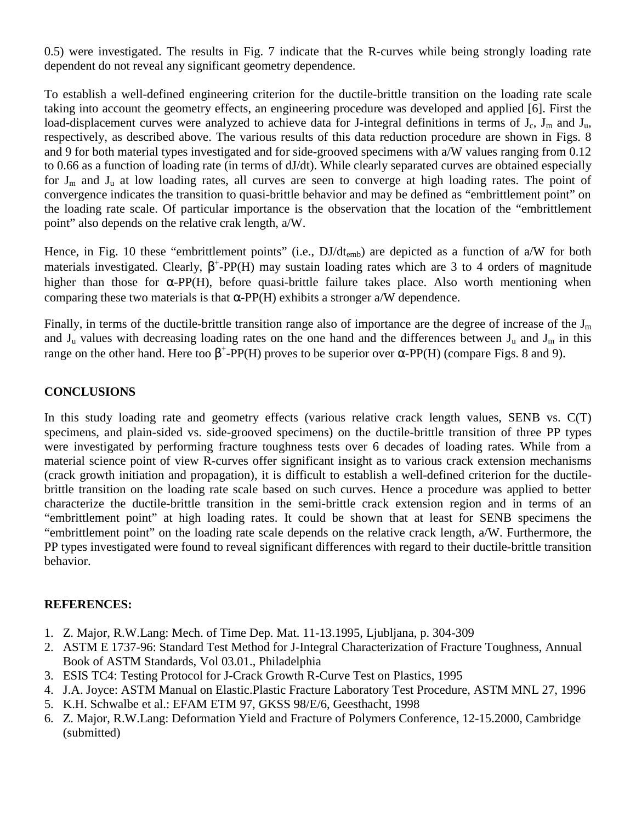0.5) were investigated. The results in Fig. 7 indicate that the R-curves while being strongly loading rate dependent do not reveal any significant geometry dependence.

To establish a well-defined engineering criterion for the ductile-brittle transition on the loading rate scale taking into account the geometry effects, an engineering procedure was developed and applied [6]. First the load-displacement curves were analyzed to achieve data for J-integral definitions in terms of  $J_c$ ,  $J_m$  and  $J_u$ , respectively, as described above. The various results of this data reduction procedure are shown in Figs. 8 and 9 for both material types investigated and for side-grooved specimens with a/W values ranging from 0.12 to 0.66 as a function of loading rate (in terms of dJ/dt). While clearly separated curves are obtained especially for  $J_m$  and  $J_u$  at low loading rates, all curves are seen to converge at high loading rates. The point of convergence indicates the transition to quasi-brittle behavior and may be defined as "embrittlement point" on the loading rate scale. Of particular importance is the observation that the location of the "embrittlement point" also depends on the relative crak length, a/W.

Hence, in Fig. 10 these "embrittlement points" (i.e.,  $DJ/dt_{emb}$ ) are depicted as a function of a/W for both materials investigated. Clearly,  $\beta^+$ -PP(H) may sustain loading rates which are 3 to 4 orders of magnitude higher than those for  $\alpha$ -PP(H), before quasi-brittle failure takes place. Also worth mentioning when comparing these two materials is that  $\alpha$ -PP(H) exhibits a stronger a/W dependence.

Finally, in terms of the ductile-brittle transition range also of importance are the degree of increase of the  $J_m$ and  $J_u$  values with decreasing loading rates on the one hand and the differences between  $J_u$  and  $J_m$  in this range on the other hand. Here too  $\beta^{\dagger}$ -PP(H) proves to be superior over  $\alpha$ -PP(H) (compare Figs. 8 and 9).

## **CONCLUSIONS**

In this study loading rate and geometry effects (various relative crack length values, SENB vs. C(T) specimens, and plain-sided vs. side-grooved specimens) on the ductile-brittle transition of three PP types were investigated by performing fracture toughness tests over 6 decades of loading rates. While from a material science point of view R-curves offer significant insight as to various crack extension mechanisms (crack growth initiation and propagation), it is difficult to establish a well-defined criterion for the ductilebrittle transition on the loading rate scale based on such curves. Hence a procedure was applied to better characterize the ductile-brittle transition in the semi-brittle crack extension region and in terms of an "embrittlement point" at high loading rates. It could be shown that at least for SENB specimens the "embrittlement point" on the loading rate scale depends on the relative crack length, a/W. Furthermore, the PP types investigated were found to reveal significant differences with regard to their ductile-brittle transition behavior.

### **REFERENCES:**

- 1. Z. Major, R.W.Lang: Mech. of Time Dep. Mat. 11-13.1995, Ljubljana, p. 304-309
- 2. ASTM E 1737-96: Standard Test Method for J-Integral Characterization of Fracture Toughness, Annual Book of ASTM Standards, Vol 03.01., Philadelphia
- 3. ESIS TC4: Testing Protocol for J-Crack Growth R-Curve Test on Plastics, 1995
- 4. J.A. Joyce: ASTM Manual on Elastic.Plastic Fracture Laboratory Test Procedure, ASTM MNL 27, 1996
- 5. K.H. Schwalbe et al.: EFAM ETM 97, GKSS 98/E/6, Geesthacht, 1998
- 6. Z. Major, R.W.Lang: Deformation Yield and Fracture of Polymers Conference, 12-15.2000, Cambridge (submitted)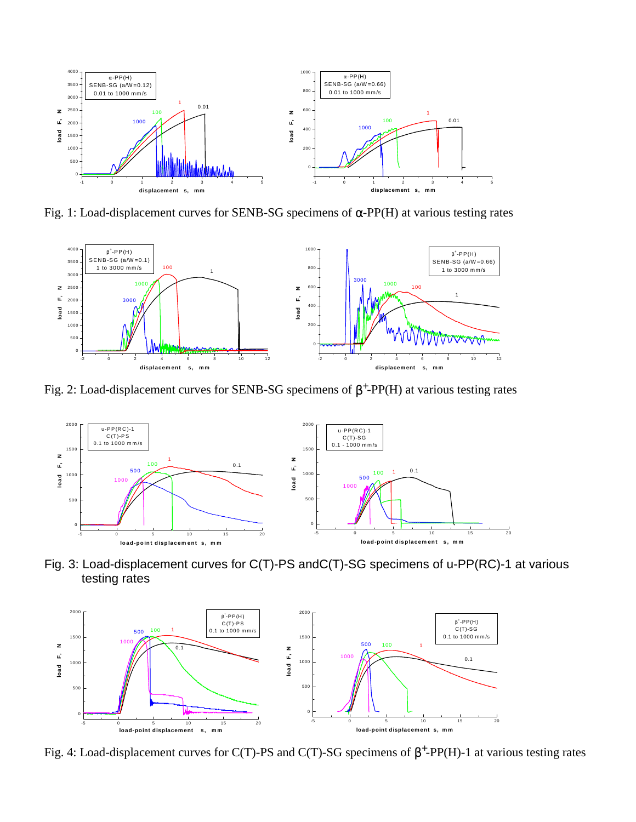

Fig. 1: Load-displacement curves for SENB-SG specimens of  $α$ -PP(H) at various testing rates



Fig. 2: Load-displacement curves for SENB-SG specimens of  $\beta^+$ -PP(H) at various testing rates



Fig. 3: Load-displacement curves for C(T)-PS andC(T)-SG specimens of u-PP(RC)-1 at various testing rates



Fig. 4: Load-displacement curves for C(T)-PS and C(T)-SG specimens of  $\beta^+$ -PP(H)-1 at various testing rates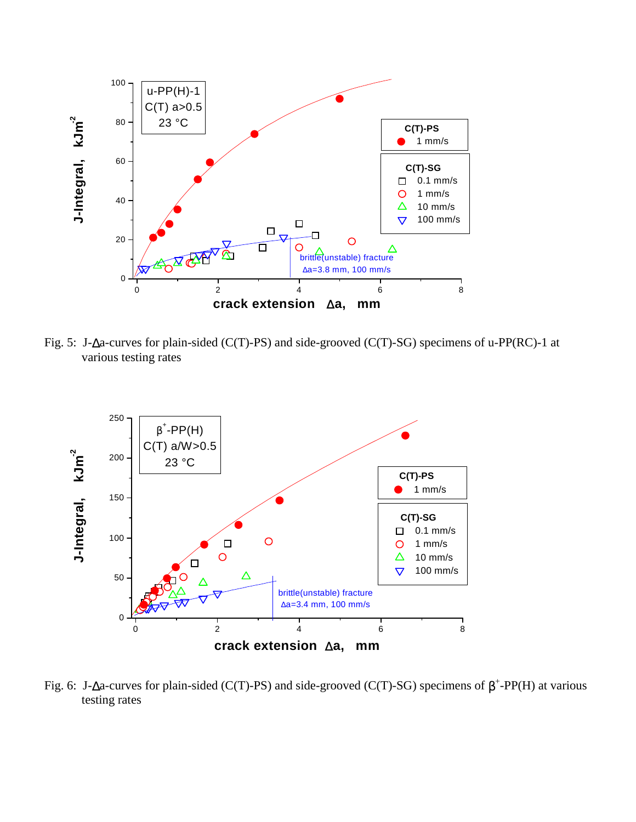

Fig. 5: J-∆a-curves for plain-sided (C(T)-PS) and side-grooved (C(T)-SG) specimens of u-PP(RC)-1 at various testing rates



Fig. 6: J-∆a-curves for plain-sided (C(T)-PS) and side-grooved (C(T)-SG) specimens of  $\beta^+$ -PP(H) at various testing rates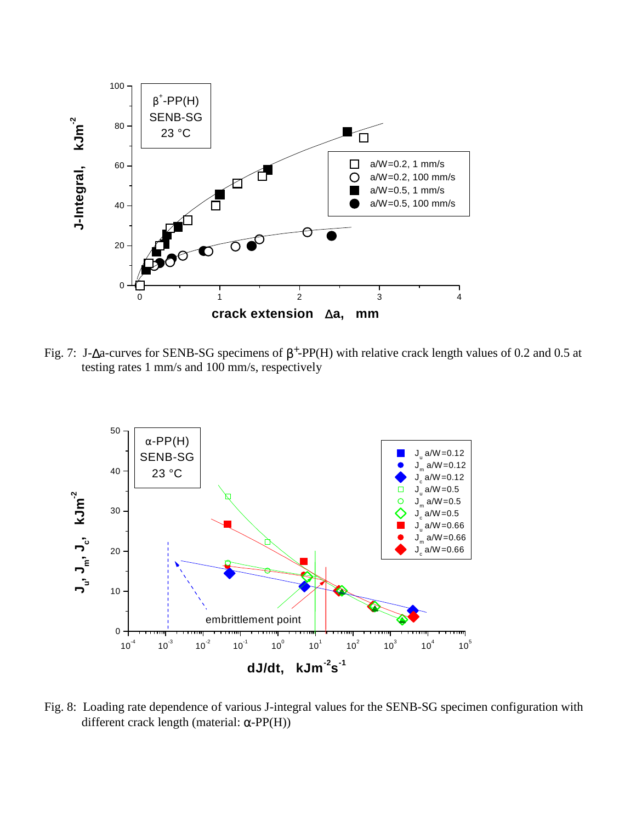

Fig. 7: J- $\Delta$ a-curves for SENB-SG specimens of  $\beta^+$ -PP(H) with relative crack length values of 0.2 and 0.5 at testing rates 1 mm/s and 100 mm/s, respectively



Fig. 8: Loading rate dependence of various J-integral values for the SENB-SG specimen configuration with different crack length (material:  $\alpha$ -PP(H))